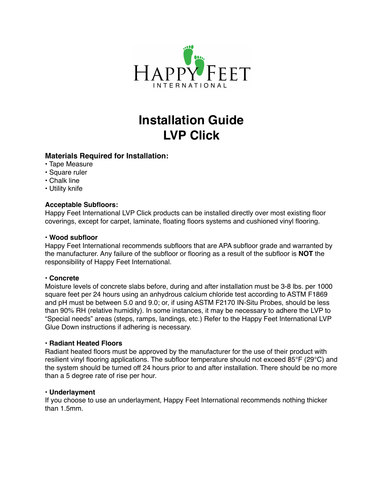

# **Installation Guide LVP Click**

# **Materials Required for Installation:**

- Tape Measure
- Square ruler
- Chalk line
- Utility knife

## **Acceptable Subfloors:**

Happy Feet International LVP Click products can be installed directly over most existing floor coverings, except for carpet, laminate, floating floors systems and cushioned vinyl flooring.

#### **• Wood subfloor**

Happy Feet International recommends subfloors that are APA subfloor grade and warranted by the manufacturer. Any failure of the subfloor or flooring as a result of the subfloor is **NOT** the responsibility of Happy Feet International.

# **• Concrete**

Moisture levels of concrete slabs before, during and after installation must be 3-8 lbs. per 1000 square feet per 24 hours using an anhydrous calcium chloride test according to ASTM F1869 and pH must be between 5.0 and 9.0; or, if using ASTM F2170 IN-Situ Probes, should be less than 90% RH (relative humidity). In some instances, it may be necessary to adhere the LVP to "Special needs" areas (steps, ramps, landings, etc.) Refer to the Happy Feet International LVP Glue Down instructions if adhering is necessary.

#### **• Radiant Heated Floors**

Radiant heated floors must be approved by the manufacturer for the use of their product with resilient vinyl flooring applications. The subfloor temperature should not exceed 85°F (29°C) and the system should be turned off 24 hours prior to and after installation. There should be no more than a 5 degree rate of rise per hour.

#### **• Underlayment**

If you choose to use an underlayment, Happy Feet International recommends nothing thicker than 1.5mm.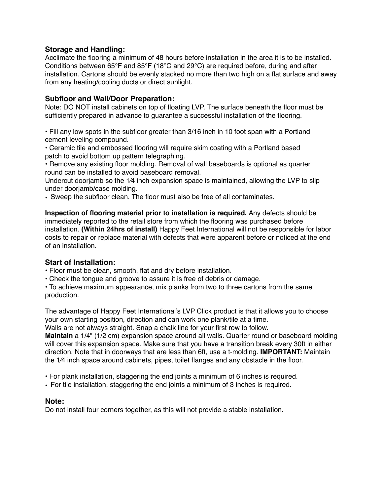# **Storage and Handling:**

Acclimate the flooring a minimum of 48 hours before installation in the area it is to be installed. Conditions between 65°F and 85°F (18°C and 29°C) are required before, during and after installation. Cartons should be evenly stacked no more than two high on a flat surface and away from any heating/cooling ducts or direct sunlight.

## **Subfloor and Wall/Door Preparation:**

Note: DO NOT install cabinets on top of floating LVP. The surface beneath the floor must be sufficiently prepared in advance to guarantee a successful installation of the flooring.

• Fill any low spots in the subfloor greater than 3/16 inch in 10 foot span with a Portland cement leveling compound.

• Ceramic tile and embossed flooring will require skim coating with a Portland based patch to avoid bottom up pattern telegraphing.

• Remove any existing floor molding. Removal of wall baseboards is optional as quarter round can be installed to avoid baseboard removal.

Undercut doorjamb so the 1⁄4 inch expansion space is maintained, allowing the LVP to slip under doorjamb/case molding.

• Sweep the subfloor clean. The floor must also be free of all contaminates.

**Inspection of flooring material prior to installation is required.** Any defects should be immediately reported to the retail store from which the flooring was purchased before installation. **(Within 24hrs of install)** Happy Feet International will not be responsible for labor costs to repair or replace material with defects that were apparent before or noticed at the end of an installation.

#### **Start of Installation:**

- Floor must be clean, smooth, flat and dry before installation.
- Check the tongue and groove to assure it is free of debris or damage.

• To achieve maximum appearance, mix planks from two to three cartons from the same production.

The advantage of Happy Feet International's LVP Click product is that it allows you to choose your own starting position, direction and can work one plank/tile at a time.

Walls are not always straight. Snap a chalk line for your first row to follow.

**Maintain** a 1/4" (1/2 cm) expansion space around all walls. Quarter round or baseboard molding will cover this expansion space. Make sure that you have a transition break every 30ft in either direction. Note that in doorways that are less than 6ft, use a t-molding. **IMPORTANT:** Maintain the 1⁄4 inch space around cabinets, pipes, toilet flanges and any obstacle in the floor.

• For plank installation, staggering the end joints a minimum of 6 inches is required.

• For tile installation, staggering the end joints a minimum of 3 inches is required.

#### **Note:**

Do not install four corners together, as this will not provide a stable installation.